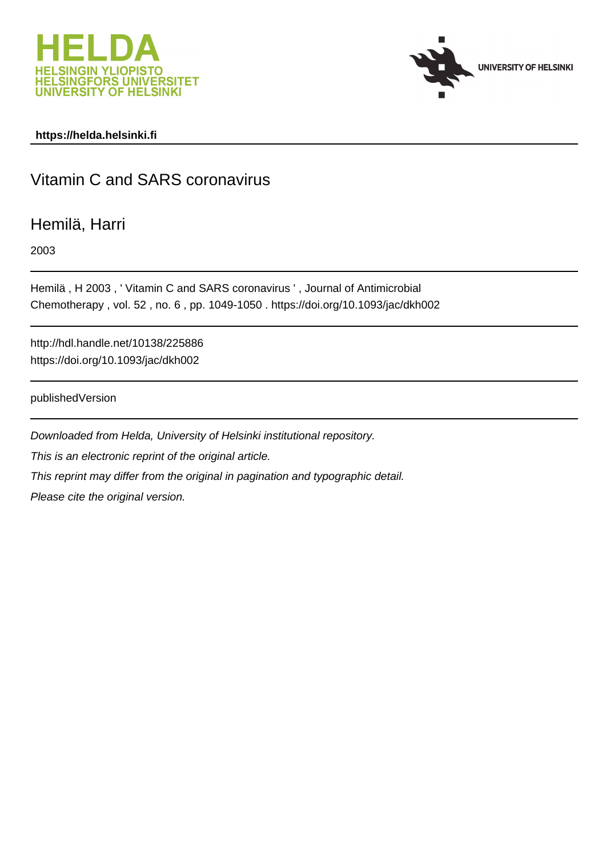



# **https://helda.helsinki.fi**

# Vitamin C and SARS coronavirus

# Hemilä, Harri

2003

Hemilä , H 2003 , ' Vitamin C and SARS coronavirus ' , Journal of Antimicrobial Chemotherapy , vol. 52 , no. 6 , pp. 1049-1050 . https://doi.org/10.1093/jac/dkh002

http://hdl.handle.net/10138/225886 https://doi.org/10.1093/jac/dkh002

publishedVersion

Downloaded from Helda, University of Helsinki institutional repository. This is an electronic reprint of the original article. This reprint may differ from the original in pagination and typographic detail. Please cite the original version.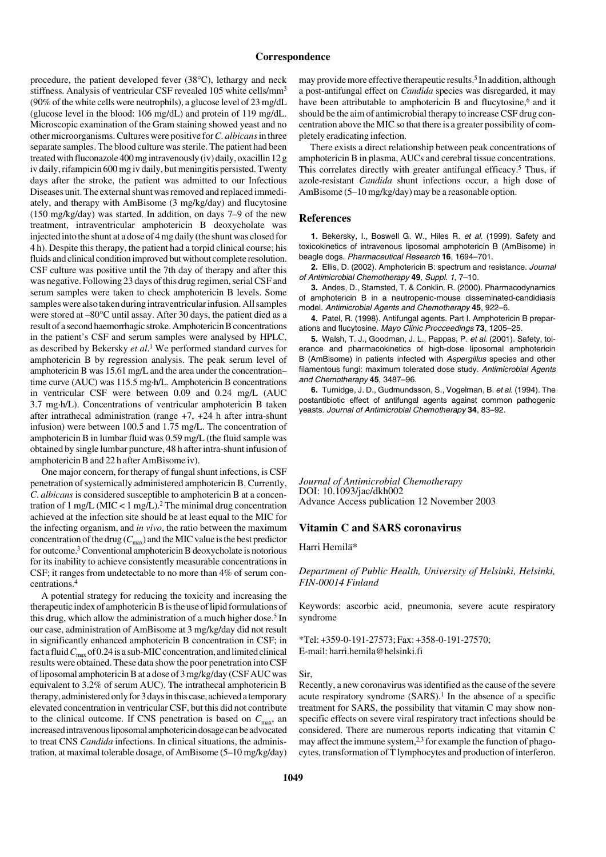#### **Correspondence**

procedure, the patient developed fever (38°C), lethargy and neck stiffness. Analysis of ventricular CSF revealed 105 white cells/mm<sup>3</sup> (90% of the white cells were neutrophils), a glucose level of 23 mg/dL (glucose level in the blood: 106 mg/dL) and protein of 119 mg/dL. Microscopic examination of the Gram staining showed yeast and no other microorganisms. Cultures were positive for *C. albicans* in three separate samples. The blood culture was sterile. The patient had been treated with fluconazole 400 mg intravenously (iv) daily, oxacillin 12 g iv daily, rifampicin 600 mg iv daily, but meningitis persisted. Twenty days after the stroke, the patient was admitted to our Infectious Diseases unit. The external shunt was removed and replaced immediately, and therapy with AmBisome (3 mg/kg/day) and flucytosine (150 mg/kg/day) was started. In addition, on days 7–9 of the new treatment, intraventricular amphotericin B deoxycholate was injected into the shunt at a dose of 4 mg daily (the shunt was closed for 4 h). Despite this therapy, the patient had a torpid clinical course; his fluids and clinical condition improved but without complete resolution. CSF culture was positive until the 7th day of therapy and after this was negative. Following 23 days of this drug regimen, serial CSF and serum samples were taken to check amphotericin B levels. Some samples were also taken during intraventricular infusion. All samples were stored at –80°C until assay. After 30 days, the patient died as a result of a second haemorrhagic stroke. Amphotericin B concentrations in the patient's CSF and serum samples were analysed by HPLC, as described by Bekersky *et al*. 1 We performed standard curves for amphotericin B by regression analysis. The peak serum level of amphotericin B was 15.61 mg/L and the area under the concentration– time curve (AUC) was 115.5 mg·h/L. Amphotericin B concentrations in ventricular CSF were between 0.09 and 0.24 mg/L (AUC 3.7 mg·h/L). Concentrations of ventricular amphotericin B taken after intrathecal administration (range +7, +24 h after intra-shunt infusion) were between 100.5 and 1.75 mg/L. The concentration of amphotericin B in lumbar fluid was 0.59 mg/L (the fluid sample was obtained by single lumbar puncture, 48 h after intra-shunt infusion of amphotericin B and 22 h after AmBisome iv).

One major concern, for therapy of fungal shunt infections, is CSF penetration of systemically administered amphotericin B. Currently, *C*. *albicans* is considered susceptible to amphotericin B at a concentration of 1 mg/L (MIC < 1 mg/L).<sup>2</sup> The minimal drug concentration achieved at the infection site should be at least equal to the MIC for the infecting organism, and *in vivo*, the ratio between the maximum concentration of the drug  $(C_{\text{max}})$  and the MIC value is the best predictor for outcome.3 Conventional amphotericin B deoxycholate is notorious for its inability to achieve consistently measurable concentrations in CSF; it ranges from undetectable to no more than 4% of serum concentrations.4

A potential strategy for reducing the toxicity and increasing the therapeutic index of amphotericin B is the use of lipid formulations of this drug, which allow the administration of a much higher dose.<sup>5</sup> In our case, administration of AmBisome at 3 mg/kg/day did not result in significantly enhanced amphotericin B concentration in CSF; in fact a fluid  $C_{\text{max}}$  of 0.24 is a sub-MIC concentration, and limited clinical results were obtained. These data show the poor penetration into CSF of liposomal amphotericin B at a dose of 3 mg/kg/day (CSF AUC was equivalent to 3.2% of serum AUC). The intrathecal amphotericin B therapy, administered only for 3 days in this case, achieved a temporary elevated concentration in ventricular CSF, but this did not contribute to the clinical outcome. If CNS penetration is based on  $C_{\text{max}}$ , an increased intravenous liposomal amphotericin dosage can be advocated to treat CNS *Candida* infections. In clinical situations, the administration, at maximal tolerable dosage, of AmBisome (5–10 mg/kg/day)

may provide more effective therapeutic results.<sup>5</sup> In addition, although a post-antifungal effect on *Candida* species was disregarded, it may have been attributable to amphotericin B and flucytosine, $6$  and it should be the aim of antimicrobial therapy to increase CSF drug concentration above the MIC so that there is a greater possibility of completely eradicating infection.

There exists a direct relationship between peak concentrations of amphotericin B in plasma, AUCs and cerebral tissue concentrations. This correlates directly with greater antifungal efficacy.<sup>5</sup> Thus, if azole-resistant *Candida* shunt infections occur, a high dose of AmBisome (5–10 mg/kg/day) may be a reasonable option.

### **References**

**1.** Bekersky, I., Boswell G. W., Hiles R. et al. (1999). Safety and toxicokinetics of intravenous liposomal amphotericin B (AmBisome) in beagle dogs. Pharmaceutical Research **16**, 1694–701.

**2.** Ellis, D. (2002). Amphotericin B: spectrum and resistance. Journal of Antimicrobial Chemotherapy **49**, Suppl. 1, 7–10.

**3.** Andes, D., Stamsted, T. & Conklin, R. (2000). Pharmacodynamics of amphotericin B in a neutropenic-mouse disseminated-candidiasis model. Antimicrobial Agents and Chemotherapy **45**, 922–6.

**4.** Patel, R. (1998). Antifungal agents. Part I. Amphotericin B preparations and flucytosine. Mayo Clinic Procceedings **73**, 1205–25.

**5.** Walsh, T. J., Goodman, J. L., Pappas, P. et al. (2001). Safety, tolerance and pharmacokinetics of high-dose liposomal amphotericin B (AmBisome) in patients infected with Aspergillus species and other filamentous fungi: maximum tolerated dose study. Antimicrobial Agents and Chemotherapy **45**, 3487–96.

**6.** Turnidge, J. D., Gudmundsson, S., Vogelman, B. et al. (1994). The postantibiotic effect of antifungal agents against common pathogenic yeasts. Journal of Antimicrobial Chemotherapy **34**, 83–92.

*Journal of Antimicrobial Chemotherapy* DOI: 10.1093/jac/dkh002 Advance Access publication 12 November 2003

### **Vitamin C and SARS coronavirus**

Harri Hemilä\*

*Department of Public Health, University of Helsinki, Helsinki, FIN-00014 Finland*

Keywords: ascorbic acid, pneumonia, severe acute respiratory syndrome

\*Tel: +359-0-191-27573; Fax: +358-0-191-27570; E-mail: harri.hemila@helsinki.fi

#### Sir,

Recently, a new coronavirus was identified as the cause of the severe acute respiratory syndrome  $(SARS)$ .<sup>1</sup> In the absence of a specific treatment for SARS, the possibility that vitamin C may show nonspecific effects on severe viral respiratory tract infections should be considered. There are numerous reports indicating that vitamin C may affect the immune system,  $2,3$  for example the function of phagocytes, transformation of T lymphocytes and production of interferon.